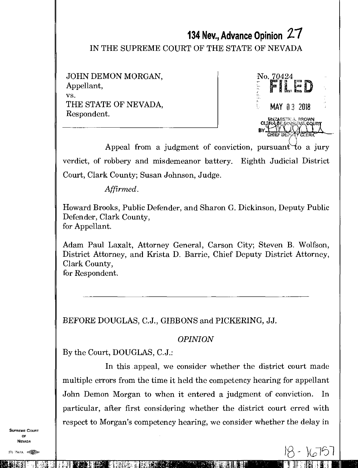# **134 Nev., Advance Opinion** 2-7

IN THE SUPREME COURT OF THE STATE OF NEVADA

JOHN DEMON MORGAN, Appellant, VS. THE STATE OF NEVADA, Respondent.



 $k\pi/2$ 

Appeal from a judgment of conviction, pursuant to a jury verdict, of robbery and misdemeanor battery. Eighth Judicial District Court, Clark County; Susan Johnson, Judge.

*Affirmed.* 

Howard Brooks, Public Defender, and Sharon G. Dickinson, Deputy Public Defender, Clark County, for Appellant.

Adam Paul Laxalt, Attorney General, Carson City; Steven B. Wolfson, District Attorney, and Krista D. Barrie, Chief Deputy District Attorney, Clark County, for Respondent.

BEFORE DOUGLAS, C.J., GIBBONS and PICKERING, JJ.

## *OPINION*

By the Court, DOUGLAS, C.J.:

In this appeal, we consider whether the district court made multiple errors from the time it held the competency hearing for appellant John Demon Morgan to when it entered a judgment of conviction. In particular, after first considering whether the district court erred with respect to Morgan's competency hearing, we consider whether the delay in

dittanataja<br>Huitatadittivailit

SUPREME COURT OF NEVADA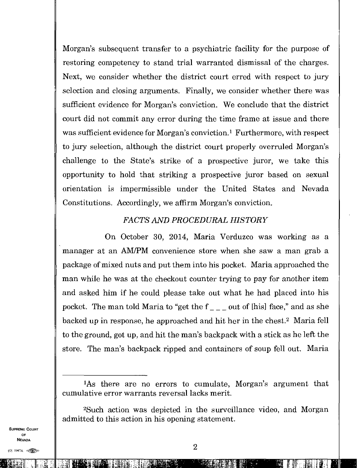Morgan's subsequent transfer to a psychiatric facility for the purpose of restoring competency to stand trial warranted dismissal of the charges. Next, we consider whether the district court erred with respect to jury selection and closing arguments. Finally, we consider whether there was sufficient evidence for Morgan's conviction. We conclude that the district court did not commit any error during the time frame at issue and there was sufficient evidence for Morgan's conviction.<sup>1</sup> Furthermore, with respect to jury selection, although the district court properly overruled Morgan's challenge to the State's strike of a prospective juror, we take this opportunity to hold that striking a prospective juror based on sexual orientation is impermissible under the United States and Nevada Constitutions. Accordingly, we affirm Morgan's conviction.

## *FACTS AND PROCEDURAL HISTORY*

On October 30, 2014, Maria Verduzco was working as a manager at an AM/PM convenience store when she saw a man grab a package of mixed nuts and put them into his pocket. Maria approached the man while he was at the checkout counter trying to pay for another item and asked him if he could please take out what he had placed into his pocket. The man told Maria to "get the  $f_{\text{max}}$  out of [his] face," and as she backed up in response, he approached and hit her in the chest.<sup>2</sup> Maria fell to the ground, got up, and hit the man's backpack with a stick as he left the store. The man's backpack ripped and containers of soup fell out. Maria

<sup>2</sup>Such action was depicted in the surveillance video, and Morgan admitted to this action in his opening statement.

SUPREME COURT OF NEVADA

Mat. 1111170

<sup>&#</sup>x27;As there are no errors to cumulate, Morgan's argument that cumulative error warrants reversal lacks merit.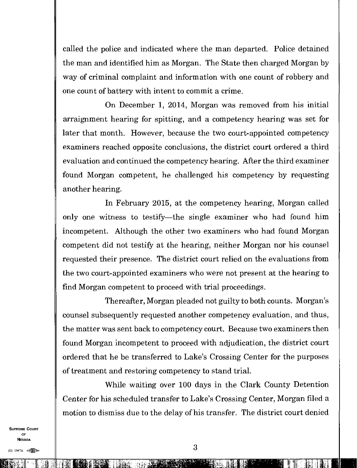called the police and indicated where the man departed. Police detained the man and identified him as Morgan. The State then charged Morgan by way of criminal complaint and information with one count of robbery and one count of battery with intent to commit a crime.

On December 1, 2014, Morgan was removed from his initial arraignment hearing for spitting, and a competency hearing was set for later that month. However, because the two court-appointed competency examiners reached opposite conclusions, the district court ordered a third evaluation and continued the competency hearing. After the third examiner found Morgan competent, he challenged his competency by requesting another hearing.

In February 2015, at the competency hearing, Morgan called only one witness to testify—the single examiner who had found him incompetent. Although the other two examiners who had found Morgan competent did not testify at the hearing, neither Morgan nor his counsel requested their presence. The district court relied on the evaluations from the two court-appointed examiners who were not present at the hearing to find Morgan competent to proceed with trial proceedings.

Thereafter, Morgan pleaded not guilty to both counts. Morgan's counsel subsequently requested another competency evaluation, and thus, the matter was sent back to competency court. Because two examiners then found Morgan incompetent to proceed with adjudication, the district court ordered that he be transferred to Lake's Crossing Center for the purposes of treatment and restoring competency to stand trial.

While waiting over 100 days in the Clark County Detention Center for his scheduled transfer to Lake's Crossing Center, Morgan filed a motion to dismiss due to the delay of his transfer. The district court denied

SUPREME COURT OF NEVADA

ina ang pangalawan ng Kabupatèn Bandar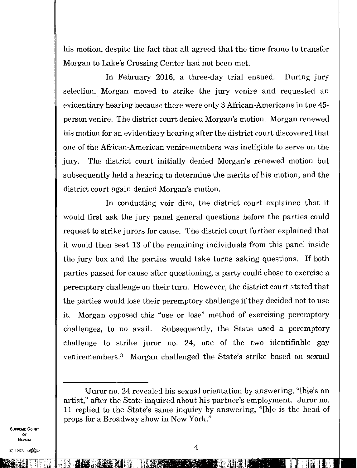his motion, despite the fact that all agreed that the time frame to transfer Morgan to Lake's Crossing Center had not been met.

In February 2016, a three-day trial ensued. During jury selection, Morgan moved to strike the jury venire and requested an evidentiary hearing because there were only 3 African-Americans in the 45 person venire. The district court denied Morgan's motion. Morgan renewed his motion for an evidentiary hearing after the district court discovered that one of the African-American veniremembers was ineligible to serve on the jury. The district court initially denied Morgan's renewed motion but subsequently held a hearing to determine the merits of his motion, and the district court again denied Morgan's motion.

In conducting voir dire, the district court explained that it would first ask the jury panel general questions before the parties could request to strike jurors for cause. The district court further explained that it would then seat 13 of the remaining individuals from this panel inside the jury box and the parties would take turns asking questions. If both parties passed for cause after questioning, a party could chose to exercise a peremptory challenge on their turn. However, the district court stated that the parties would lose their peremptory challenge if they decided not to use it. Morgan opposed this "use or lose" method of exercising peremptory challenges, to no avail. Subsequently, the State used a peremptory challenge to strike juror no. 24, one of the two identifiable gay veniremembers.<sup>3</sup> Morgan challenged the State's strike based on sexual

SUPREME COURT OF NEVADA

;1117IFIli

<sup>3</sup>Juror no. 24 revealed his sexual orientation by answering, "lhle's an artist," after the State inquired about his partner's employment. Juror no. 11 replied to the State's same inquiry by answering, "[hie is the head of props for a Broadway show in New York."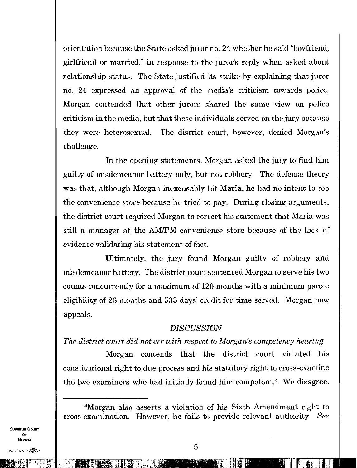orientation because the State asked juror no. 24 whether he said "boyfriend, girlfriend or married," in response to the juror's reply when asked about relationship status. The State justified its strike by explaining that juror no. 24 expressed an approval of the media's criticism towards police. Morgan contended that other jurors shared the same view on police criticism in the media, but that these individuals served on the jury because they were heterosexual. The district court, however, denied Morgan's challenge.

In the opening statements, Morgan asked the jury to find him guilty of misdemeanor battery only, but not robbery. The defense theory was that, although Morgan inexcusably hit Maria, he had no intent to rob the convenience store because he tried to pay. During closing arguments, the district court required Morgan to correct his statement that Maria was still a manager at the AM/PM convenience store because of the lack of evidence validating his statement of fact.

Ultimately, the jury found Morgan guilty of robbery and misdemeanor battery. The district court sentenced Morgan to serve his two counts concurrently for a maximum of 120 months with a minimum parole eligibility of 26 months and 533 days' credit for time served. Morgan now appeals.

#### *DISCUSSION*

## *The district court did not err with respect to Morgan's competency hearing*

Morgan contends that the district court violated his constitutional right to due process and his statutory right to cross-examine the two examiners who had initially found him competent.<sup>4</sup> We disagree.

SUPREME COURT OF NEVADA

111111i1.1".

<sup>4</sup>Morgan also asserts a violation of his Sixth Amendment right to cross-examination. However, he fails to provide relevant authority. *See*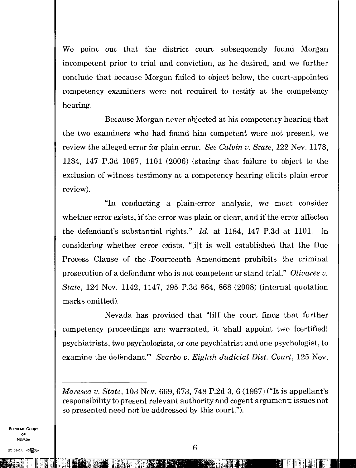We point out that the district court subsequently found Morgan incompetent prior to trial and conviction, as he desired, and we further conclude that because Morgan failed to object below, the court-appointed competency examiners were not required to testify at the competency hearing.

Because Morgan never objected at his competency hearing that the two examiners who had found him competent were not present, we review the alleged error for plain error. *See Calvin v. State,* 122 Nev. 1178, 1184, 147 P.3d 1097, 1101 (2006) (stating that failure to object to the exclusion of witness testimony at a competency hearing elicits plain error review).

"In conducting a plain-error analysis, we must consider whether error exists, if the error was plain or clear, and if the error affected the defendant's substantial rights." *Id.* at 1184, 147 P.3d at 1101. In considering whether error exists, "fit is well established that the Due Process Clause of the Fourteenth Amendment prohibits the criminal prosecution of a defendant who is not competent to stand trial." *Olivares v. State,* 124 Nev. 1142, 1147, 195 P.3d 864, 868 (2008) (internal quotation marks omitted).

Nevada has provided that "[i]f the court finds that further competency proceedings are warranted, it 'shall appoint two [certified] psychiatrists, two psychologists, or one psychiatrist and one psychologist, to examine the defendant." *Scarbo v. Eighth Judicial Dist. Court, 125 Nev.* 

*Maresca v. State,* 103 Nev. 669, 673, 748 P.2d 3, 6 (1987) ("It is appellant's responsibility to present relevant authority and cogent argument; issues not so presented need not be addressed by this court.").

SUPREME COURT OF NEVADA

 $(0)$  1947A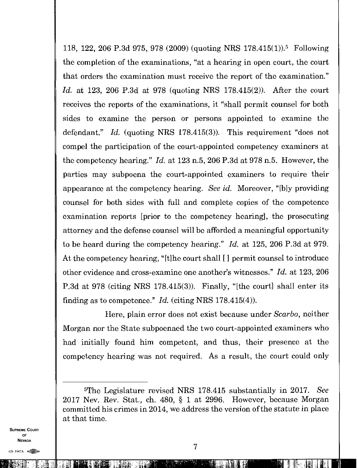118, 122, 206 P.3d 975, 978 (2009) (quoting NRS 178.415(1)).<sup>5</sup> Following the completion of the examinations, "at a hearing in open court, the court that orders the examination must receive the report of the examination." *Id.* at 123, 206 P.3d at 978 (quoting MRS 178.415(2)). After the court receives the reports of the examinations, it "shall permit counsel for both sides to examine the person or persons appointed to examine the defendant." *Id.* (quoting NRS 178.415(3)). This requirement "does not compel the participation of the court-appointed competency examiners at the competency hearing." *Id.* at 123 n.5, 206 P.3d at 978 n.5. However, the parties may subpoena the court-appointed examiners to require their appearance at the competency hearing. *See id.* Moreover, "[b]y providing counsel for both sides with full and complete copies of the competence examination reports [prior to the competency hearing], the prosecuting attorney and the defense counsel will be afforded a meaningful opportunity to be heard during the competency hearing." *Id.* at 125, 206 P.3d at 979. At the competency hearing, "[t]he court shall [I permit counsel to introduce other evidence and cross-examine one another's witnesses." *Id.* at 123, 206 P.3d at 978 (citing MRS 178.415(3)). Finally, "[the court] shall enter its finding as to competence." *Id.* (citing MRS 178.415(4)).

Here, plain error does not exist because under *Scarbo,* neither Morgan nor the State subpoenaed the two court-appointed examiners who had initially found him competent, and thus, their presence at the competency hearing was not required. As a result, the court could only

SUPREME COURT OF NEVADA

(0) I907A

 $\mathbf{I}$  intervalse intervalse in the  $\mathbf{I}$ 

<sup>5</sup>The Legislature revised MRS 178.415 substantially in 2017. *See*  2017 Nev. Rev. Stat., ch. 480, § 1 at 2996. However, because Morgan committed his crimes in 2014, we address the version of the statute in place at that time.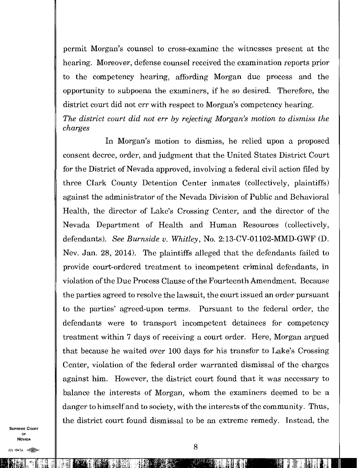permit Morgan's counsel to cross-examine the witnesses present at the hearing. Moreover, defense counsel received the examination reports prior to the competency hearing, affording Morgan due process and the opportunity to subpoena the examiners, if he so desired. Therefore, the district court did not err with respect to Morgan's competency hearing. *The district court did not err by rejecting Morgan's motion to dismiss the charges* 

In Morgan's motion to dismiss, he relied upon a proposed consent decree, order, and judgment that the United States District Court for the District of Nevada approved, involving a federal civil action filed by three Clark County Detention Center inmates (collectively, plaintiffs) against the administrator of the Nevada Division of Public and Behavioral Health, the director of Lake's Crossing Center, and the director of the Nevada Department of Health and Human Resources (collectively, defendants). *See Burnside v. Whitley,* No. 2:13-CV-01102-MMD-GWF (D. Nev. Jan. 28, 2014). The plaintiffs alleged that the defendants failed to provide court-ordered treatment to incompetent criminal defendants, in violation of the Due Process Clause of the Fourteenth Amendment. Because the parties agreed to resolve the lawsuit, the court issued an order pursuant to the parties' agreed-upon terms. Pursuant to the federal order, the defendants were to transport incompetent detainees for competency treatment within 7 days of receiving a court order. Here, Morgan argued that because he waited over 100 days for his transfer to Lake's Crossing Center, violation of the federal order warranted dismissal of the charges against him. However, the district court found that it was necessary to balance the interests of Morgan, whom the examiners deemed to be a danger to himself and to society, with the interests of the community. Thus, the district court found dismissal to be an extreme remedy. Instead, the

SUPREME COURT OF NEVADA

III II DE TIERS AANGELIK KOMMUNISTER DIE REGENEEMEN VAN DIE VAN DIE VAN DIE VAN DIE REGENEEMEN VAN DIE VAN DIE

(0) 1947A  $\lll$   $\lll$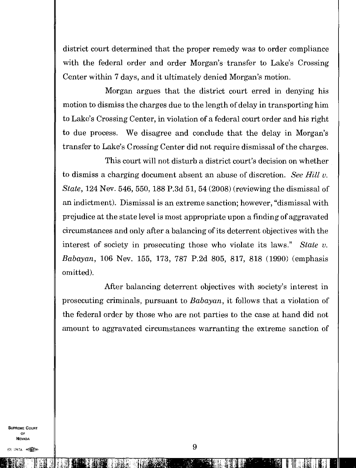district court determined that the proper remedy was to order compliance with the federal order and order Morgan's transfer to Lake's Crossing Center within 7 days, and it ultimately denied Morgan's motion.

Morgan argues that the district court erred in denying his motion to dismiss the charges due to the length of delay in transporting him to Lake's Crossing Center, in violation of a federal court order and his right to due process. We disagree and conclude that the delay in Morgan's transfer to Lake's Crossing Center did not require dismissal of the charges.

This court will not disturb a district court's decision on whether to dismiss a charging document absent an abuse of discretion. *See Hill v. State,* 124 Nev. 546, 550, 188 P.3d 51, 54 (2008) (reviewing the dismissal of an indictment). Dismissal is an extreme sanction; however, "dismissal with prejudice at the state level is most appropriate upon a finding of aggravated circumstances and only after a balancing of its deterrent objectives with the interest of society in prosecuting those who violate its laws." *State v. Babayan,* 106 Nev. 155, 173, 787 P.2d 805, 817, 818 (1990) (emphasis omitted).

After balancing deterrent objectives with society's interest in prosecuting criminals, pursuant to *Babayan,* it follows that a violation of the federal order by those who are not parties to the case at hand did not amount to aggravated circumstances warranting the extreme sanction of

SUPREME COURT OF NEVADA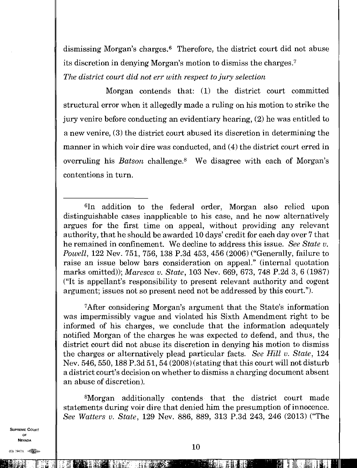dismissing Morgan's charges.<sup>6</sup> Therefore, the district court did not abuse its discretion in denying Morgan's motion to dismiss the charges. <sup>7</sup>

*The district court did not err with respect to jury selection* 

Morgan contends that: (1) the district court committed structural error when it allegedly made a ruling on his motion to strike the jury venire before conducting an evidentiary hearing, (2) he was entitled to a new venire, (3) the district court abused its discretion in determining the manner in which voir dire was conducted, and (4) the district court erred in overruling his *Batson* challenge.<sup>8</sup> We disagree with each of Morgan's contentions in turn.

<sup>7</sup>After considering Morgan's argument that the State's information was impermissibly vague and violated his Sixth Amendment right to be informed of his charges, we conclude that the information adequately notified Morgan of the charges he was expected to defend, and thus, the district court did not abuse its discretion in denying his motion to dismiss the charges or alternatively plead particular facts. *See Hill v. State,* 124 Nev. 546, 550, 188 P.3d 51, 54(2008) (stating that this court will not disturb a district court's decision on whether to dismiss a charging document absent an abuse of discretion).

<sup>8</sup>Morgan additionally contends that the district court made statements during voir dire that denied him the presumption of innocence. *See Walters v. State,* 129 Nev. 886, 889, 313 P.3d 243, 246 (2013) ("The

SUPREME COURT OF NEVADA

(C)) 1947A e

le të t

<sup>6</sup>In addition to the federal order, Morgan also relied upon distinguishable cases inapplicable to his case, and he now alternatively argues for the first time on appeal, without providing any relevant authority, that he should be awarded 10 days' credit for each day over 7 that he remained in confinement. We decline to address this issue. *See State v. Powell,* 122 Nev. 751, 756, 138 P.3d 453, 456 (2006) ("Generally, failure to raise an issue below bars consideration on appeal." (internal quotation marks omitted)); *Maresca v. State,* 103 Nev. 669, 673, 748 P.2d 3, 6 (1987) ("It is appellant's responsibility to present relevant authority and cogent argument; issues not so present need not be addressed by this court.").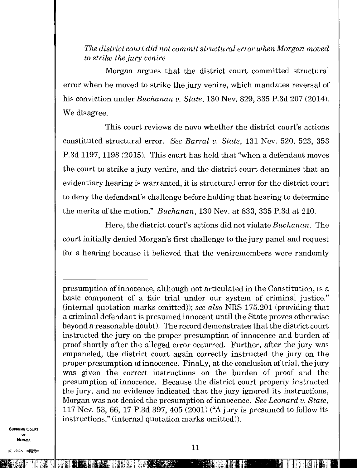*The district court did not commit structural error when Morgan moved to strike the jury venire* 

Morgan argues that the district court committed structural error when he moved to strike the jury venire, which mandates reversal of his conviction under *Buchanan v. State,* 130 Nev. 829, 335 P.3d 207 (2014). We disagree.

This court reviews de novo whether the district court's actions constituted structural error. *See Barral v. State,* 131 Nev. 520, 523, 353 P.3d 1197, 1198 (2015). This court has held that "when a defendant moves the court to strike a jury venire, and the district court determines that an evidentiary hearing is warranted, it is structural error for the district court to deny the defendant's challenge before holding that hearing to determine the merits of the motion." *Buchanan,* 130 Nev. at 833, 335 P.3d at 210.

Here, the district court's actions did not violate *Buchanan.* The court initially denied Morgan's first challenge to the jury panel and request for a hearing because it believed that the veniremembers were randomly

SUPREME COURT OP **NEVADA** 

for 1947<br>**for the first set of the first set of the first set of the first set of the first set of the first set of the** <br>**for the first set of the first set of the first set of the first set of the first set of the first** 

771 - Petro Barnett, 1980 - Petro Barnett, 1980 - Petro Barnett, 1980 - Petro Barnett, 1980 - Petro Barnett, 1<br>1980 - Petro Barnett, 1980 - Petro Barnett, 1980 - Petro Barnett, 1980 - Petro Barnett, 1980 - Petro Barnett,

presumption of innocence, although not articulated in the Constitution, is a basic component of a fair trial under our system of criminal justice." (internal quotation marks omitted)); *see also* NRS 175.201 (providing that a criminal defendant is presumed innocent until the State proves otherwise beyond a reasonable doubt). The record demonstrates that the district court instructed the jury on the proper presumption of innocence and burden of proof shortly after the alleged error occurred. Further, after the jury was empaneled, the district court again correctly instructed the jury on the proper presumption of innocence. Finally, at the conclusion of trial, the jury was given the correct instructions on the burden of proof and the presumption of innocence. Because the district court properly instructed the jury, and no evidence indicated that the jury ignored its instructions, Morgan was not denied the presumption of innocence. *See Leonard v. State,*  117 Nev. 53,66, 17 P.3d 397, 405 (2001) ("A jury is presumed to follow its instructions." (internal quotation marks omitted)).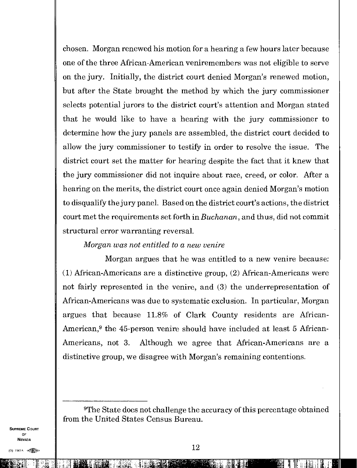chosen. Morgan renewed his motion for a hearing a few hours later because one of the three African-American veniremembers was not eligible to serve on the jury. Initially, the district court denied Morgan's renewed motion, but after the State brought the method by which the jury commissioner selects potential jurors to the district court's attention and Morgan stated that he would like to have a hearing with the jury commissioner to determine how the jury panels are assembled, the district court decided to allow the jury commissioner to testify in order to resolve the issue. The district court set the matter for hearing despite the fact that it knew that the jury commissioner did not inquire about race, creed, or color. After a hearing on the merits, the district court once again denied Morgan's motion to disqualify the jury paneL Based on the district court's actions, the district court met the requirements set forth in *Buchanan,* and thus, did not commit structural error warranting reversal.

## *Morgan was not entitled to a new venire*

Morgan argues that he was entitled to a new venire because: (1) African-Americans are a distinctive group, (2) African-Americans were not fairly represented in the venire, and (3) the underrepresentation of African-Americans was due to systematic exclusion. In particular, Morgan argues that because 11.8% of Clark County residents are African-American,<sup>9</sup> the 45-person venire should have included at least 5 African-Americans, not 3. Although we agree that African-Americans are a distinctive group, we disagree with Morgan's remaining contentions.

<sup>9</sup>The State does not challenge the accuracy of this percentage obtained from the United States Census Bureau.

SUPREME COURT OF **NEVADA** 

2

kitg, It ;7 1.H kitg, It ;7 1.H kitg, It ;7 1.H kitg, It ;7 1.H kitg, It ;7 1.H kitg, It ;1 1.H kitg, It ;1 1.<br>Ethnologies in the form of the form of the form of the form of the form of the form of the form of the form of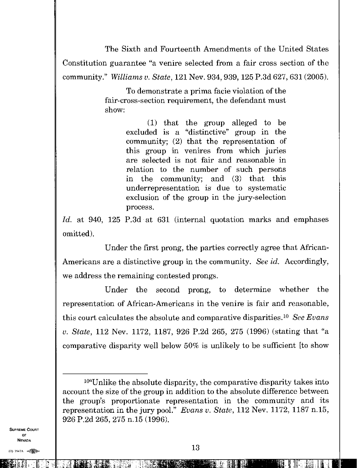The Sixth and Fourteenth Amendments of the United States Constitution guarantee "a venire selected from a fair cross section of the community." *Williams v. State,* 121 Nev. 934, 939, 125 P.3d 627, 631 (2005).

> To demonstrate a prima facie violation of the fair-cross-section requirement, the defendant must show:

> > (1) that the group alleged to be excluded is a "distinctive" group in the community; (2) that the representation of this group in venires from which juries are selected is not fair and reasonable in relation to the number of such persons in the community; and (3) that this underrepresentation is due to systematic exclusion of the group in the jury-selection process.

*Id.* at 940, 125 P.3d at 631 (internal quotation marks and emphases omitted).

Under the first prong, the parties correctly agree that African-Americans are a distinctive group in the community. *See id.* Accordingly, we address the remaining contested prongs.

Under the second prong, to determine whether the representation of African-Americans in the venire is fair and reasonable, this court calculates the absolute and comparative disparities.<sup>10</sup> See Evans *v. State,* 112 Nev. 1172, 1187, 926 P.2d 265, 275 (1996) (stating that "a comparative disparity well below 50% is unlikely to be sufficient [to show

SUPREME COURT OF NEVADA

10:11:11:11

<sup>10</sup>"Unlike the absolute disparity, the comparative disparity takes into account the size of the group in addition to the absolute difference between the group's proportionate representation in the community and its representation in the jury pool." *Evans v. State,* 112 Nev. 1172, 1187 n.15, 926 P.2d 265, 275 n.15 (1996).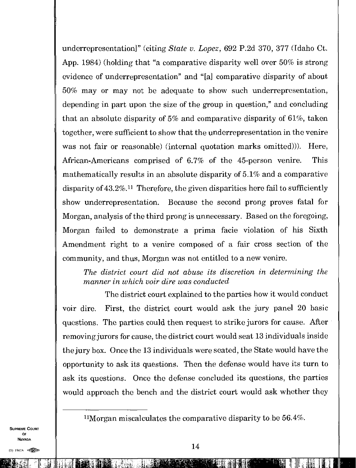underrepresentation]" (citing *State v. Lopez*, 692 P.2d 370, 377 (Idaho Ct.) App. 1984) (holding that "a comparative disparity well over 50% is strong evidence of underrepresentation" and "[a] comparative disparity of about 50% may or may not be adequate to show such underrepresentation, depending in part upon the size of the group in question," and concluding that an absolute disparity of 5% and comparative disparity of 61%, taken together, were sufficient to show that the underrepresentation in the venire was not fair or reasonable) (internal quotation marks omitted))). Here, African-Americans comprised of 6.7% of the 45-person venire. This mathematically results in an absolute disparity of 5.1% and a comparative disparity of  $43.2\%$ .<sup>11</sup> Therefore, the given disparities here fail to sufficiently show underrepresentation. Because the second prong proves fatal for Morgan, analysis of the third prong is unnecessary. Based on the foregoing, Morgan failed to demonstrate a prima facie violation of his Sixth Amendment right to a venire composed of a fair cross section of the community, and thus, Morgan was not entitled to a new venire.

*The district court did not abuse its discretion in determining the manner in which voir dire was conducted* 

The district court explained to the parties how it would conduct voir dire. First, the district court would ask the jury panel 20 basic questions. The parties could then request to strike jurors for cause. After removing jurors for cause, the district court would seat 13 individuals inside the jury box. Once the 13 individuals were seated, the State would have the opportunity to ask its questions. Then the defense would have its turn to ask its questions. Once the defense concluded its questions, the parties would approach the bench and the district court would ask whether they

<sup>11</sup>Morgan miscalculates the comparative disparity to be  $56.4\%$ .

SUPREME COURT OF NEVADA

**自相要的样子的 医心室下垂 医二次反射性腹膜膜肿胀 的复数医**尿 医二十二十二 朝佛 医胆甾醇 医胆甾醇 建立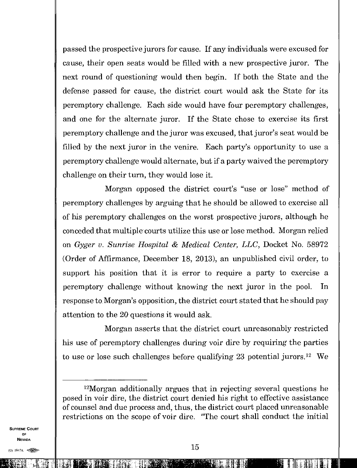passed the prospective jurors for cause. If any individuals were excused for cause, their open seats would be filled with a new prospective juror. The next round of questioning would then begin. If both the State and the defense passed for cause, the district court would ask the State for its peremptory challenge. Each side would have four peremptory challenges, and one for the alternate juror. If the State chose to exercise its first peremptory challenge and the juror was excused, that juror's seat would be filled by the next juror in the venire. Each party's opportunity to use a peremptory challenge would alternate, but if a party waived the peremptory challenge on their turn, they would lose it.

Morgan opposed the district court's "use or lose" method of peremptory challenges by arguing that he should be allowed to exercise all of his peremptory challenges on the worst prospective jurors, although he conceded that multiple courts utilize this use or lose method. Morgan relied on *Gyger v. Sunrise Hospital & Medical Center, LLC,* Docket No. 58972 (Order of Affirmance, December 18, 2013), an unpublished civil order, to support his position that it is error to require a party to exercise a peremptory challenge without knowing the next juror in the pool. In response to Morgan's opposition, the district court stated that he should pay attention to the 20 questions it would ask.

Morgan asserts that the district court unreasonably restricted his use of peremptory challenges during voir dire by requiring the parties to use or lose such challenges before qualifying 23 potential jurors.<sup>12</sup> We

SUPREME COURT OF NEVADA

l'IL1,1111'41•11111 1111H:

 $12M$ organ additionally argues that in rejecting several questions he posed in voir dire, the district court denied his right to effective assistance of counsel and due process and, thus, the district court placed unreasonable restrictions on the scope of voir dire. "The court shall conduct the initial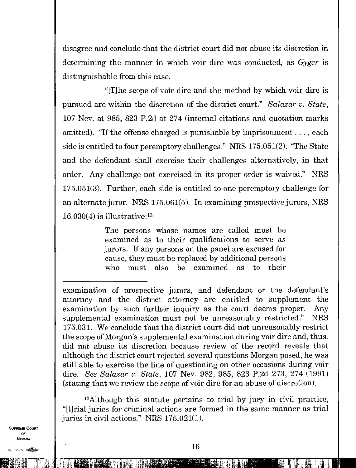disagree and conclude that the district court did not abuse its discretion in determining the manner in which voir dire was conducted, as *Gyger* is distinguishable from this case.

" $[$ T $]$ he scope of voir dire and the method by which voir dire is pursued are within the discretion of the district court." *Salazar v. State,*  107 Nev. at 985, 823 P.2d at 274 (internal citations and quotation marks omitted). "If the offense charged is punishable by imprisonment. . . , each side is entitled to four peremptory challenges." NRS 175.051(2). "The State and the defendant shall exercise their challenges alternatively, in that order. Any challenge not exercised in its proper order is waived." NRS 175.051(3). Further, each side is entitled to one peremptory challenge for an alternate juror. NRS 175.061(5). In examining prospective jurors, NRS  $16.030(4)$  is illustrative:<sup>13</sup>

> The persons whose names are called must be examined as to their qualifications to serve as jurors. If any persons on the panel are excused for cause, they must be replaced by additional persons who must also be examined as to their

examination of prospective jurors, and defendant or the defendant's attorney and the district attorney are entitled to supplement the examination by such further inquiry as the court deems proper. Any supplemental examination must not be unreasonably restricted." NRS 175.031. We conclude that the district court did not unreasonably restrict the scope of Morgan's supplemental examination during voir dire and, thus, did not abuse its discretion because review of the record reveals that although the district court rejected several questions Morgan posed, he was still able to exercise the line of questioning on other occasions during voir dire. *See Salazar v. State,* 107 Nev. 982, 985, 823 P.2d 273, 274 (1991) (stating that we review the scope of voir dire for an abuse of discretion).

<sup>13</sup>Although this statute pertains to trial by jury in civil practice, "[t]rial juries for criminal actions are formed in the same manner as trial juries in civil actions." NRS 175.021(1).

SUPREME COURT OF NEVADA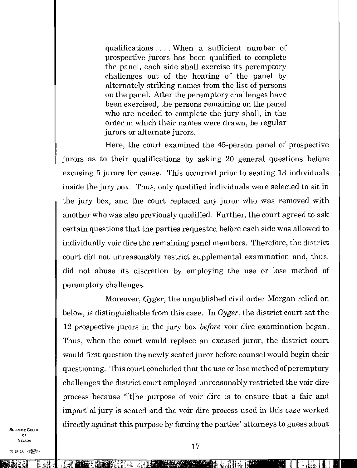qualifications. . . When a sufficient number of prospective jurors has been qualified to complete the panel, each side shall exercise its peremptory challenges out of the hearing of the panel by alternately striking names from the list of persons on the panel. After the peremptory challenges have been exercised, the persons remaining on the panel who are needed to complete the jury shall, in the order in which their names were drawn, be regular jurors or alternate jurors.

Here, the court examined the 45-person panel of prospective jurors as to their qualifications by asking 20 general questions before excusing 5 jurors for cause. This occurred prior to seating 13 individuals inside the jury box. Thus, only qualified individuals were selected to sit in the jury box, and the court replaced any juror who was removed with another who was also previously qualified. Further, the court agreed to ask certain questions that the parties requested before each side was allowed to individually voir dire the remaining panel members. Therefore, the district court did not unreasonably restrict supplemental examination and, thus, did not abuse its discretion by employing the use or lose method of peremptory challenges.

Moreover, *Gyger,* the unpublished civil order Morgan relied on below, is distinguishable from this case. In *Gyger,* the district court sat the 12 prospective jurors in the jury box *before* voir dire examination began Thus, when the court would replace an excused juror, the district court would first question the newly seated juror before counsel would begin their questioning. This court concluded that the use or lose method of peremptory challenges the district court employed unreasonably restricted the voir dire process because "[t] he purpose of voir dire is to ensure that a fair and impartial jury is seated and the voir dire process used in this case worked directly against this purpose by forcing the parties' attorneys to guess about

SUPREME COURT OF NEVADA

(0) 1947A 《 图

igiMi:.WM.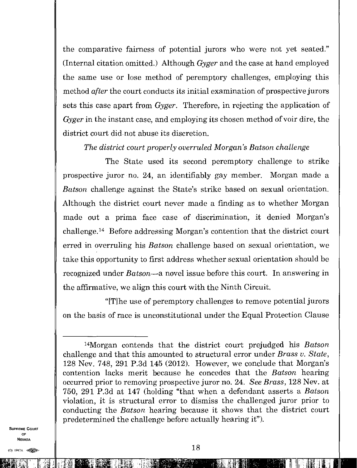the comparative fairness of potential jurors who were not yet seated." (Internal citation omitted.) Although *Gyger* and the case at hand employed the same use or lose method of peremptory challenges, employing this method *after* the court conducts its initial examination of prospective jurors sets this case apart from *Gyger.* Therefore, in rejecting the application of *Gyger* in the instant case, and employing its chosen method of voir dire, the district court did not abuse its discretion.

*The district court properly overruled* Morgan's *Batson challenge* 

The State used its second peremptory challenge to strike prospective juror no. 24, an identifiably gay member. Morgan made a *Batson* challenge against the State's strike based on sexual orientation. Although the district court never made a finding as to whether Morgan made out a prima face case of discrimination, it denied Morgan's challenge.<sup>14</sup> Before addressing Morgan's contention that the district court erred in overruling his *Batson* challenge based on sexual orientation, we take this opportunity to first address whether sexual orientation should be recognized under *Batson—a* novel issue before this court. In answering in the affirmative, we align this court with the Ninth Circuit.

"[T]he use of peremptory challenges to remove potential jurors on the basis of race is unconstitutional under the Equal Protection Clause

SUPREME COURT OF NEVADA

41; Vali Go ili Elizabeth and the series of the control of the control of the control of the control of the co<br>All the control of the control of the control of the control of the control of the control of the control of t

<sup>14</sup>Morgan contends that the district court prejudged his *Batson*  challenge and that this amounted to structural error under *Brass v. State,*  128 Nev. 748, 291 P.3d 145 (2012). However, we conclude that Morgan's contention lacks merit because he concedes that the *Batson* hearing occurred prior to removing prospective juror no. 24. *See Brass,* 128 Nev. at 750, 291 P.3d at 147 (holding "that when a defendant asserts a Batson violation, it is structural error to dismiss the challenged juror prior to conducting the *Batson* hearing because it shows that the district court predetermined the challenge before actually hearing it").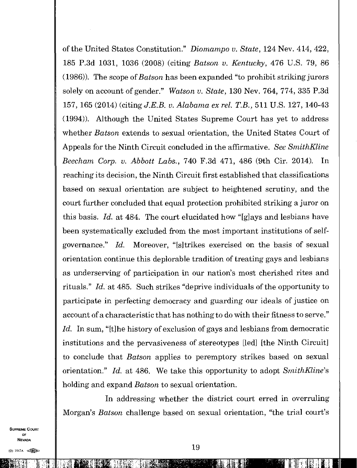of the United States Constitution." *Diomampo v. State,* 124 Nev. 414, 422, 185 P.3d 1031, 1036 (2008) (citing *Batson v. Kentucky,* 476 U.S. 79, 86 (1986)). The scope of *Batson* has been expanded "to prohibit striking jurors solely on account of gender." *Watson v. State,* 130 Nev. 764, 774, 335 P.3d 157, 165 (2014) (citing *J.E.B. v. Alabama ex rel. T.B.,* 511 U.S. 127, 140-43 (1994)). Although the United States Supreme Court has yet to address whether *Batson* extends to sexual orientation, the United States Court of Appeals for the Ninth Circuit concluded in the affirmative. *See SmithKline Beecham Corp. v. Abbott Labs.,* 740 F.3d 471, 486 (9th Cir. 2014). In reaching its decision, the Ninth Circuit first established that classifications based on sexual orientation are subject to heightened scrutiny, and the court further concluded that equal protection prohibited striking a juror on this basis. *Id.* at 484. The court elucidated how "[g]ays and lesbians have been systematically excluded from the most important institutions of selfgovernance." *Id.* Moreover, "[s] trikes exercised on the basis of sexual orientation continue this deplorable tradition of treating gays and lesbians as underserving of participation in our nation's most cherished rites and rituals." *Id.* at 485. Such strikes "deprive individuals of the opportunity to participate in perfecting democracy and guarding our ideals of justice on account of a characteristic that has nothing to do with their fitness to serve." Id. In sum, "[t]he history of exclusion of gays and lesbians from democratic institutions and the pervasiveness of stereotypes [led] [the Ninth Circuit] to conclude that *Batson* applies to peremptory strikes based on sexual orientation." *Id.* at 486. We take this opportunity to adopt *SmithKline's* holding and expand *Batson* to sexual orientation.

In addressing whether the district court erred in overruling Morgan's *Batson* challenge based on sexual orientation, "the trial court's

SUPREME COURT OF NEVADA

Elander<br>Elander Elander<br>Elander Elander Elander Elander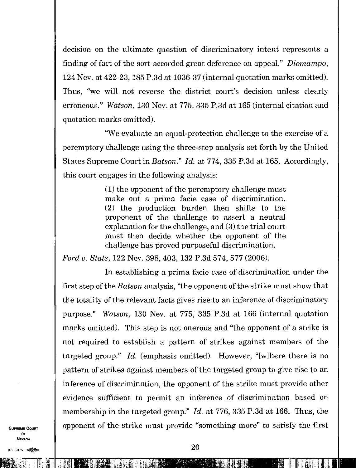decision on the ultimate question of discriminatory intent represents a finding of fact of the sort accorded great deference on appeal." *Diomampo,*  124 Nev. at 422-23, 185 P.3d at 1036-37 (internal quotation marks omitted). Thus, "we will not reverse the district court's decision unless clearly erroneous." *Watson,* 130 Nev. at 775, 335 P.3d at 165 (internal citation and quotation marks omitted).

"We evaluate an equal-protection challenge to the exercise of a peremptory challenge using the three-step analysis set forth by the United States Supreme Court in *Batson." Id.* at 774, 335 P.3d at 165. Accordingly, this court engages in the following analysis:

> (1) the opponent of the peremptory challenge must make out a prima facie case of discrimination, (2) the production burden then shifts to the proponent of the challenge to assert a neutral explanation for the challenge, and (3) the trial court must then decide whether the opponent of the challenge has proved purposeful discrimination.

*Ford v. State,* 122 Nev. 398, 403, 132 P.3d 574, 577 (2006).

In establishing a prima facie case of discrimination under the first step of the *Batson* analysis, "the opponent of the strike must show that the totality of the relevant facts gives rise to an inference of discriminatory purpose." *Watson,* 130 Nev. at 775, 335 P.3d at 166 (internal quotation marks omitted). This step is not onerous and "the opponent of a strike is not required to establish a pattern of strikes against members of the targeted group." *Id.* (emphasis omitted). However, "[w]here there is no pattern of strikes against members of the targeted group to give rise to an inference of discrimination, the opponent of the strike must provide other evidence sufficient to permit an inference of discrimination based on membership in the targeted group." *Id.* at 776, 335 P.3d at 166. Thus, the opponent of the strike must provide "something more" to satisfy the first

SUPREME COURT OF NEVADA

(0) 1997A

MILLI MARKA SEKARA KEMBANG KALENDARAN KEMPATAN TERSEKAT PERANJA KEMBERAN KEMBERAN PADA ATAU PERANJAHAN KEMBERA<br>MILLI PERANJAN PERANJAN PERANJAN PERANJAN PADA PADA PERANJAN PERANJAN PERANJAN PERANJAN PERANJAN PERANJAN PERA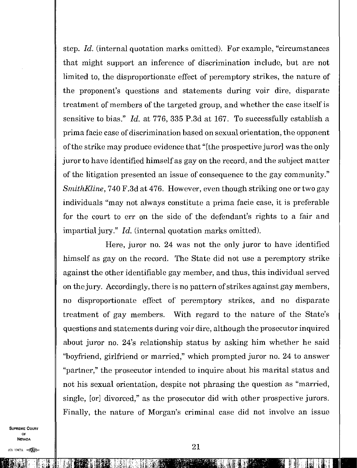step. *Id.* (internal quotation marks omitted). For example, "circumstances that might support an inference of discrimination include, but are not limited to, the disproportionate effect of peremptory strikes, the nature of the proponent's questions and statements during voir dire, disparate treatment of members of the targeted group, and whether the case itself is sensitive to bias." *Id.* at 776, 335 P.3d at 167. To successfully establish a prima facie case of discrimination based on sexual orientation, the opponent of the strike may produce evidence that "[the prospective juror] was the only juror to have identified himself as gay on the record, and the subject matter of the litigation presented an issue of consequence to the gay community" *SmithKline,* 740 F.3d at 476. However, even though striking one or two gay individuals "may not always constitute a prima facie case, it is preferable for the court to err on the side of the defendant's rights to a fair and impartial jury." *Id.* (internal quotation marks omitted).

Here, juror no. 24 was not the only juror to have identified himself as gay on the record. The State did not use a peremptory strike against the other identifiable gay member, and thus, this individual served on the jury. Accordingly, there is no pattern of strikes against gay members, no disproportionate effect of peremptory strikes, and no disparate treatment of gay members. With regard to the nature of the State's questions and statements during voir dire, although the prosecutor inquired about juror no. 24's relationship status by asking him whether he said "boyfriend, girlfriend or married," which prompted juror no. 24 to answer "partner," the prosecutor intended to inquire about his marital status and not his sexual orientation, despite not phrasing the question as "married, single, [or] divorced," as the prosecutor did with other prospective jurors. Finally, the nature of Morgan's criminal case did not involve an issue

SUPREME COURT OF NEVADA

iUkil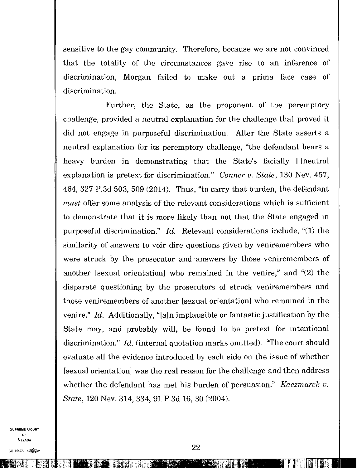sensitive to the gay community. Therefore, because we are not convinced that the totality of the circumstances gave rise to an inference of discrimination, Morgan failed to make out a prima face case of discrimination.

Further, the State, as the proponent of the peremptory challenge, provided a neutral explanation for the challenge that proved it did not engage in purposeful discrimination. After the State asserts a neutral explanation for its peremptory challenge, "the defendant bears a heavy burden in demonstrating that the State's facially [] neutral explanation is pretext for discrimination." *Conner v. State,* 130 Nev. 457, 464, 327 P.3d 503, 509 (2014). Thus, "to carry that burden, the defendant *must* offer some analysis of the relevant considerations which is sufficient to demonstrate that it is more likely than not that the State engaged in purposeful discrimination." *Id.* Relevant considerations include, "(1) the similarity of answers to voir dire questions given by veniremembers who were struck by the prosecutor and answers by those veniremembers of another [sexual orientation] who remained in the venire," and "(2) the disparate questioning by the prosecutors of struck veniremembers and those veniremembers of another [sexual orientation] who remained in the venire." *Id.* Additionally, "[a]n implausible or fantastic justification by the State may, and probably will, be found to be pretext for intentional discrimination." *Id.* (internal quotation marks omitted). "The court should evaluate all the evidence introduced by each side on the issue of whether [sexual orientation] was the real reason for the challenge and then address whether the defendant has met his burden of persuasion." *Kaczmarek v. State,* 120 Nev. 314, 334, 91 P.3d 16, 30 (2004).

SUPREME COURT OF NEVADA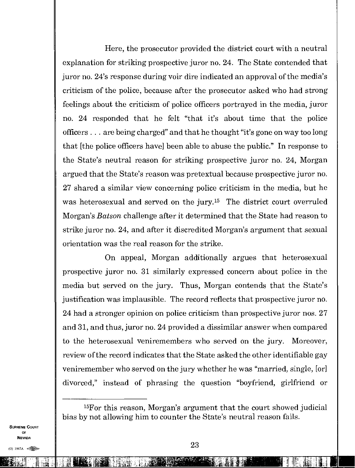Here, the prosecutor provided the district court with a neutral explanation for striking prospective juror no. 24. The State contended that juror no. 24's response during voir dire indicated an approval of the media's criticism of the police, because after the prosecutor asked who had strong feelings about the criticism of police officers portrayed in the media, juror no. 24 responded that he felt "that it's about time that the police officers . . . are being charged" and that he thought "it's gone on way too long that [the police officers have] been able to abuse the public." In response to the State's neutral reason for striking prospective juror no. 24, Morgan argued that the State's reason was pretextual because prospective juror no. 27 shared a similar view concerning police criticism in the media, but he was heterosexual and served on the jury.<sup>15</sup> The district court overruled Morgan's *Batson* challenge after it determined that the State had reason to strike juror no. 24, and after it discredited Morgan's argument that sexual orientation was the real reason for the strike.

On appeal, Morgan additionally argues that heterosexual prospective juror no. 31 similarly expressed concern about police in the media but served on the jury. Thus, Morgan contends that the State's justification was implausible. The record reflects that prospective juror no. 24 had a stronger opinion on police criticism than prospective juror nos. 27 and 31, and thus, juror no. 24 provided a dissimilar answer when compared to the heterosexual veniremembers who served on the jury. Moreover, review of the record indicates that the State asked the other identifiable gay veniremember who served on the jury whether he was "married, single, [or] divorced," instead of phrasing the question "boyfriend, girlfriend or

<sup>15</sup>For this reason, Morgan's argument that the court showed judicial bias by not allowing him to counter the State's neutral reason fails.

SUPREME COURT OF NEVADA

'7r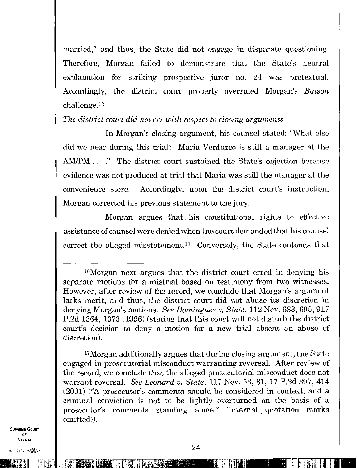married," and thus, the State did not engage in disparate questioning. Therefore, Morgan failed to demonstrate that the State's neutral explanation for striking prospective juror no. 24 was pretextual. Accordingly, the district court properly overruled Morgan's *Batson*  challenge.<sup>16</sup>

#### *The district court did not err with respect to closing arguments*

In Morgan's closing argument, his counsel stated: "What else did we hear during this trial? Maria Verduzco is still a manager at the AM/PM. . . ." The district court sustained the State's objection because evidence was not produced at trial that Maria was still the manager at the convenience store. Accordingly, upon the district court's instruction, Morgan corrected his previous statement to the jury.

Morgan argues that his constitutional rights to effective assistance of counsel were denied when the court demanded that his counsel correct the alleged misstatement.<sup>17</sup> Conversely, the State contends that

<sup>17</sup>Morgan additionally argues that during closing argument, the State engaged in prosecutorial misconduct warranting reversal. After review of the record, we conclude that the alleged prosecutorial misconduct does not warrant reversal. *See Leonard v. State,* 117 Nev. 53, 81, 17 P.3d 397, 414 (2001) ("A prosecutor's comments should be considered in context, and a criminal conviction is not to be lightly overturned on the basis of a prosecutor's comments standing alone." (internal quotation marks omitted)).

SUPREME COURT OF NEVADA  $\begin{array}{ccc}\n\text{OF} \\
\text{Nevada} \\
\hline\n\text{1947A} & 24\n\end{array}$ 

<sup>16</sup>Morgan next argues that the district court erred in denying his separate motions for a mistrial based on testimony from two witnesses. However, after review of the record, we conclude that Morgan's argument lacks merit, and thus, the district court did not abuse its discretion in denying Morgan's motions. *See Domingues v. State,* 112 Nev. 683, 695, 917 P.2d 1364, 1373 (1996) (stating that this court will not disturb the district court's decision to deny a motion for a new trial absent an abuse of discretion).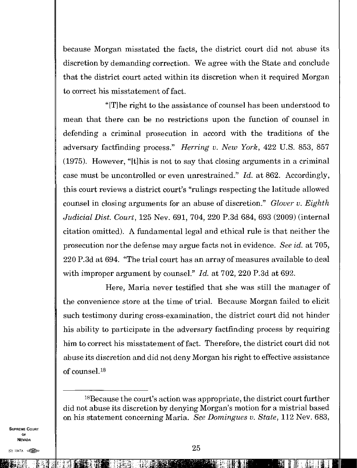because Morgan misstated the facts, the district court did not abuse its discretion by demanding correction. We agree with the State and conclude that the district court acted within its discretion when it required Morgan to correct his misstatement of fact.

"[T]he right to the assistance of counsel has been understood to mean that there can be no restrictions upon the function of counsel in defending a criminal prosecution in accord with the traditions of the adversary factfinding process." *Herring v. New York,* 422 U.S. 853, 857 (1975). However, "[t]his is not to say that closing arguments in a criminal case must be uncontrolled or even unrestrained." *Id.* at 862. Accordingly, this court reviews a district court's "rulings respecting the latitude allowed counsel in closing arguments for an abuse of discretion." *Glover v. Eighth Judicial Dist. Court,* 125 Nev. 691, 704, 220 P.3d 684, 693 (2009) (internal citation omitted). A fundamental legal and ethical rule is that neither the prosecution nor the defense may argue facts not in evidence. *See id.* at 705, 220 P.3d at 694. "The trial court has an array of measures available to deal with improper argument by counsel." *Id.* at 702, 220 P.3d at 692.

Here, Maria never testified that she was still the manager of the convenience store at the time of trial. Because Morgan failed to elicit such testimony during cross-examination, the district court did not hinder his ability to participate in the adversary factfinding process by requiring him to correct his misstatement of fact. Therefore, the district court did not abuse its discretion and did not deny Morgan his right to effective assistance of counsel 18

SUPREME COURT OF NEVADA

LiL

IMG76 In: 11:31

<sup>18</sup>Because the court's action was appropriate, the district court further did not abuse its discretion by denying Morgan's motion for a mistrial based on his statement concerning Maria. *See Domingues v. State,* 112 Nev. 683,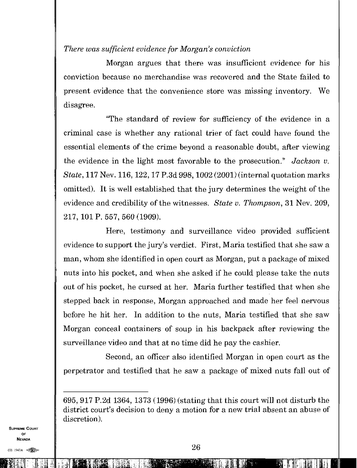*There was sufficient evidence for Morgan's conviction* 

Morgan argues that there was insufficient evidence for his conviction because no merchandise was recovered and the State failed to present evidence that the convenience store was missing inventory. We disagree.

"The standard of review for sufficiency of the evidence in a criminal case is whether any rational trier of fact could have found the essential elements of the crime beyond a reasonable doubt, after viewing the evidence in the light most favorable to the prosecution." *Jackson v. State,* 117 Nev. 116, 122, 17 P.3d 998, 1002(2001) (internal quotation marks omitted). It is well established that the jury determines the weight of the evidence and credibility of the witnesses. *State v. Thompson,* 31 Nev. 209, 217, 101 P. 557, 560 (1909).

Here, testimony and surveillance video provided sufficient evidence to support the jury's verdict. First, Maria testified that she saw a man, whom she identified in open court as Morgan, put a package of mixed nuts into his pocket, and when she asked if he could please take the nuts out of his pocket, he cursed at her. Maria further testified that when she stepped back in response, Morgan approached and made her feel nervous before he hit her. In addition to the nuts, Maria testified that she saw Morgan conceal containers of soup in his backpack after reviewing the surveillance video and that at no time did he pay the cashier.

Second, an officer also identified Morgan in open court as the perpetrator and testified that he saw a package of mixed nuts fall out of

SUPREME COURT OF NEVADA  $\frac{1}{(0)}$  1947A  $\approx 26$ 

<sup>695, 917</sup> P.2d 1364, 1373 (1996) (stating that this court will not disturb the district court's decision to deny a motion for a new trial absent an abuse of discretion).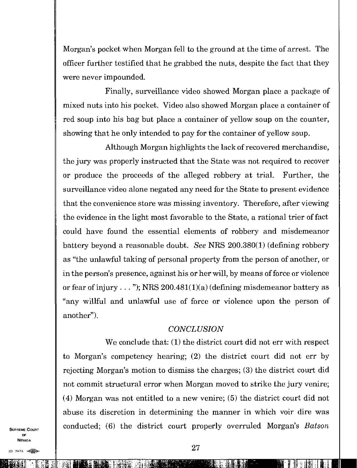Morgan's pocket when Morgan fell to the ground at the time of arrest. The officer further testified that he grabbed the nuts, despite the fact that they were never impounded.

Finally, surveillance video showed Morgan place a package of mixed nuts into his pocket. Video also showed Morgan place a container of red soup into his bag but place a container of yellow soup on the counter, showing that he only intended to pay for the container of yellow soup.

Although Morgan highlights the lack of recovered merchandise, the jury was properly instructed that the State was not required to recover or produce the proceeds of the alleged robbery at trial. Further, the surveillance video alone negated any need for the State to present evidence that the convenience store was missing inventory. Therefore, after viewing the evidence in the light most favorable to the State, a rational trier of fact could have found the essential elements of robbery and misdemeanor battery beyond a reasonable doubt. *See* NRS 200.380(1) (defining robbery as "the unlawful taking of personal property from the person of another, or in the person's presence, against his or her will, by means of force or violence or fear of injury..."); NRS  $200.481(1)(a)$  (defining misdemeanor battery as "any willful and unlawful use of force or violence upon the person of another").

#### *CONCLUSION*

We conclude that: (1) the district court did not err with respect to Morgan's competency hearing; (2) the district court did not err by rejecting Morgan's motion to dismiss the charges; (3) the district court did not commit structural error when Morgan moved to strike the jury venire; (4) Morgan was not entitled to a new venire; (5) the district court did not abuse its discretion in determining the manner in which voir dire was conducted; (6) the district court properly overruled Morgan's *Batson* 

SUPREME COURT OF NEVADA

 $(0)$  1947A  $\ll 1$